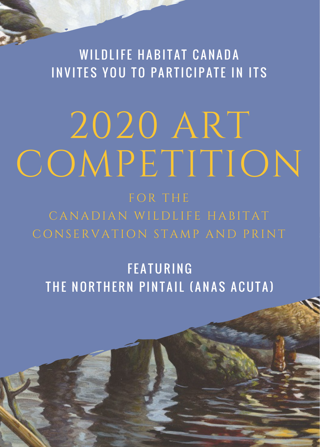WILDLIFE HABITAT CANADA INVITES YOU TO PARTICIPATE IN ITS

## 2020 ART COMPETITION

CONSERVATION STAMP AND PRINT

**FEATURING** THE NORTHERN PINTAIL (ANAS ACUTA)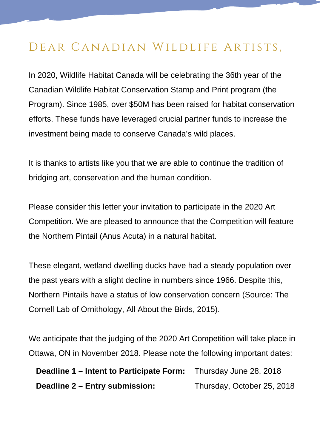## DEAR CANADIAN WILDLIFE ARTISTS,

In 2020, Wildlife Habitat Canada will be celebrating the 36th year of the Canadian Wildlife Habitat Conservation Stamp and Print program (the Program). Since 1985, over \$50M has been raised for habitat conservation efforts. These funds have leveraged crucial partner funds to increase the investment being made to conserve Canada's wild places.

It is thanks to artists like you that we are able to continue the tradition of bridging art, conservation and the human condition.

Please consider this letter your invitation to participate in the 2020 Art Competition. We are pleased to announce that the Competition will feature the Northern Pintail (Anus Acuta) in a natural habitat.

These elegant, wetland dwelling ducks have had a steady population over the past years with a slight decline in numbers since 1966. Despite this, Northern Pintails have a status of low conservation concern (Source: The Cornell Lab of Ornithology, All About the Birds, 2015).

We anticipate that the judging of the 2020 Art Competition will take place in Ottawa, ON in November 2018. Please note the following important dates:

**Deadline 1 – Intent to Participate Form: Deadline 2 – Entry submission:** Thursday June 28, 2018 Thursday, October 25, 2018